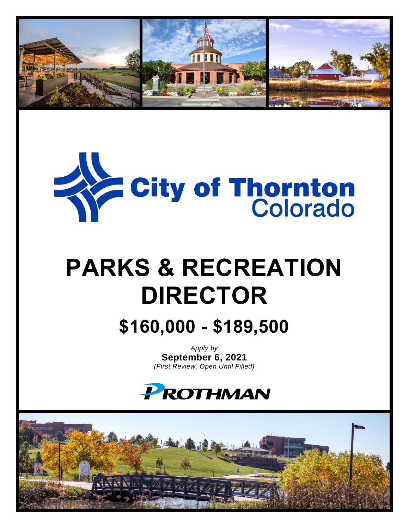



# **PARKS & RECREATION DIRECTOR**

**\$160,000 - \$189,500**

*Apply by* **September 6, 2021** *(First Review, Open Until Filled)*



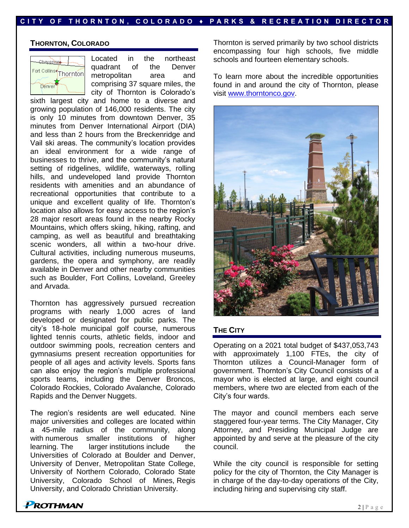#### **THORNTON, COLORADO**



Located in the northeast quadrant of the Denver metropolitan area and comprising 37 square miles, the city of Thornton is Colorado's

sixth largest city and home to a diverse and growing population of 146,000 residents. The city is only 10 minutes from downtown Denver, 35 minutes from Denver International Airport (DIA) and less than 2 hours from the Breckenridge and Vail ski areas. The community's location provides an ideal environment for a wide range of businesses to thrive, and the community's natural setting of ridgelines, wildlife, waterways, rolling hills, and undeveloped land provide Thornton residents with amenities and an abundance of recreational opportunities that contribute to a unique and excellent quality of life. Thornton's location also allows for easy access to the region's 28 major resort areas found in the nearby Rocky Mountains, which offers skiing, hiking, rafting, and camping, as well as beautiful and breathtaking scenic wonders, all within a two-hour drive. Cultural activities, including numerous museums, gardens, the opera and symphony, are readily available in Denver and other nearby communities such as Boulder, Fort Collins, Loveland, Greeley and Arvada.

Thornton has aggressively pursued recreation programs with nearly 1,000 acres of land developed or designated for public parks. The city's 18-hole municipal golf course, numerous lighted tennis courts, athletic fields, indoor and outdoor swimming pools, recreation centers and gymnasiums present recreation opportunities for people of all ages and activity levels. Sports fans can also enjoy the region's multiple professional sports teams, including the Denver Broncos, Colorado Rockies, Colorado Avalanche, Colorado Rapids and the Denver Nuggets.

The region's residents are well educated. Nine major universities and colleges are located within a 45-mile radius of the community, along with numerous smaller institutions of higher learning. The larger institutions include the Universities of Colorado at Boulder and Denver, University of Denver, Metropolitan State College, University of Northern Colorado, Colorado State University, Colorado School of Mines, Regis University, and Colorado Christian University.

Thornton is served primarily by two school districts encompassing four high schools, five middle schools and fourteen elementary schools.

To learn more about the incredible opportunities found in and around the city of Thornton, please visit [www.thorntonco.gov.](http://www.thorntonco.gov/)



#### **THE CITY**

Operating on a 2021 total budget of \$437,053,743 with approximately 1,100 FTEs, the city of Thornton utilizes a Council-Manager form of government. Thornton's City Council consists of a mayor who is elected at large, and eight council members, where two are elected from each of the City's four wards.

The mayor and council members each serve staggered four-year terms. The City Manager, City Attorney, and Presiding Municipal Judge are appointed by and serve at the pleasure of the city council.

While the city council is responsible for setting policy for the city of Thornton, the City Manager is in charge of the day-to-day operations of the City, including hiring and supervising city staff.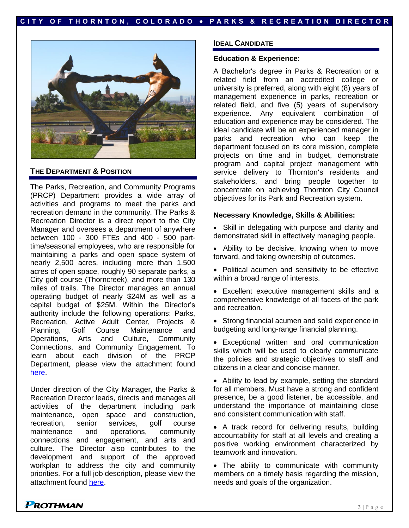

#### **THE DEPARTMENT & POSITION**

The Parks, Recreation, and Community Programs (PRCP) Department provides a wide array of activities and programs to meet the parks and recreation demand in the community. The Parks & Recreation Director is a direct report to the City Manager and oversees a department of anywhere between 100 - 300 FTEs and 400 - 500 parttime/seasonal employees, who are responsible for maintaining a parks and open space system of nearly 2,500 acres, including more than 1,500 acres of open space, roughly 90 separate parks, a City golf course (Thorncreek), and more than 130 miles of trails. The Director manages an annual operating budget of nearly \$24M as well as a capital budget of \$25M. Within the Director's authority include the following operations: Parks, Recreation, Active Adult Center, Projects & Planning, Golf Course Maintenance and Operations, Arts and Culture, Community Connections, and Community Engagement. To learn about each division of the PRCP Department, please view the attachment found [here.](https://prothman.com/JobFiles/2888/PRCP%20Department%20Overview.pdf)

Under direction of the City Manager, the Parks & Recreation Director leads, directs and manages all activities of the department including park maintenance, open space and construction, recreation, senior services, golf course maintenance and operations, community connections and engagement, and arts and culture. The Director also contributes to the development and support of the approved workplan to address the city and community priorities. For a full job description, please view the attachment found [here.](https://prothman.com/JobFiles/2888/Parks%20and%20Recreation%20Director%20Job%20Description.pdf)

#### **IDEAL CANDIDATE**

#### **Education & Experience:**

A Bachelor's degree in Parks & Recreation or a related field from an accredited college or university is preferred, along with eight (8) years of management experience in parks, recreation or related field, and five (5) years of supervisory experience. Any equivalent combination of education and experience may be considered. The ideal candidate will be an experienced manager in parks and recreation who can keep the department focused on its core mission, complete projects on time and in budget, demonstrate program and capital project management with service delivery to Thornton's residents and stakeholders, and bring people together to concentrate on achieving Thornton City Council objectives for its Park and Recreation system.

#### **Necessary Knowledge, Skills & Abilities:**

- Skill in delegating with purpose and clarity and demonstrated skill in effectively managing people.
- Ability to be decisive, knowing when to move forward, and taking ownership of outcomes.
- Political acumen and sensitivity to be effective within a broad range of interests.
- Excellent executive management skills and a comprehensive knowledge of all facets of the park and recreation.
- Strong financial acumen and solid experience in budgeting and long-range financial planning.
- Exceptional written and oral communication skills which will be used to clearly communicate the policies and strategic objectives to staff and citizens in a clear and concise manner.

• Ability to lead by example, setting the standard for all members. Must have a strong and confident presence, be a good listener, be accessible, and understand the importance of maintaining close and consistent communication with staff.

• A track record for delivering results, building accountability for staff at all levels and creating a positive working environment characterized by teamwork and innovation.

• The ability to communicate with community members on a timely basis regarding the mission, needs and goals of the organization.